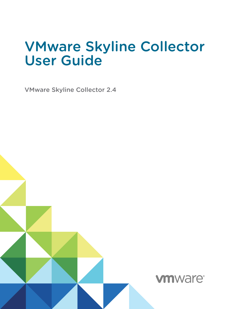## VMware Skyline Collector User Guide

VMware Skyline Collector 2.4

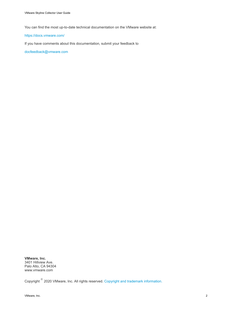You can find the most up-to-date technical documentation on the VMware website at:

#### <https://docs.vmware.com/>

If you have comments about this documentation, submit your feedback to

[docfeedback@vmware.com](mailto:docfeedback@vmware.com)

**VMware, Inc.** 3401 Hillview Ave. Palo Alto, CA 94304 www.vmware.com

Copyright  $^\circ$  2020 VMware, Inc. All rights reserved. [Copyright and trademark information.](http://pubs.vmware.com/copyright-trademark.html)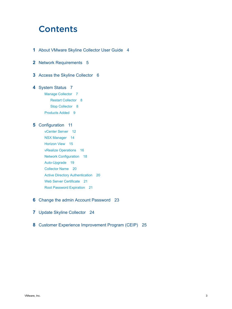## **Contents**

- **1** [About VMware Skyline Collector User Guide](#page-3-0) 4
- **2** [Network Requirements](#page-4-0) 5
- **3** [Access the Skyline Collector](#page-5-0) 6

#### **4** [System Status](#page-6-0) 7

- [Manage Collector](#page-6-0) 7
	- [Restart Collector](#page-7-0) 8
	- [Stop Collector](#page-7-0) 8
- [Products Added](#page-8-0) 9

#### **5** [Configuration](#page-10-0) 11

[vCenter Server](#page-11-0) 12 [NSX Manager](#page-13-0) 14 [Horizon View](#page-14-0) 15 [vRealize Operations](#page-15-0) 16 [Network Configuration](#page-17-0) 18 [Auto-Upgrade](#page-18-0) 19 [Collector Name](#page-19-0) 20 [Active Directory Authentication](#page-19-0) 20 [Web Server Certificate](#page-20-0) 21 [Root Password Expiration](#page-20-0) 21

#### **6** [Change the admin Account Password](#page-22-0) 23

- **7** [Update Skyline Collector](#page-23-0) 24
- **8** [Customer Experience Improvement Program \(CEIP\)](#page-24-0) 25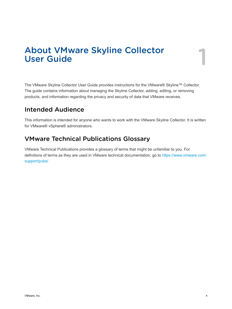# <span id="page-3-0"></span>About VMware Skyline Collector User Guide 1

The VMware Skyline Collector User Guide provides instructions for the VMware® Skyline™ Collector. The guide contains information about managing the Skyline Collector, adding, editing, or removing products, and information regarding the privacy and security of data that VMware receives.

## Intended Audience

This information is intended for anyone who wants to work with the VMware Skyline Collector. It is written for VMware® vSphere® administrators.

## VMware Technical Publications Glossary

VMware Technical Publications provides a glossary of terms that might be unfamiliar to you. For definitions of terms as they are used in VMware technical documentation, go to [https://www.vmware.com/](https://www.vmware.com/support/pubs/) [support/pubs/](https://www.vmware.com/support/pubs/)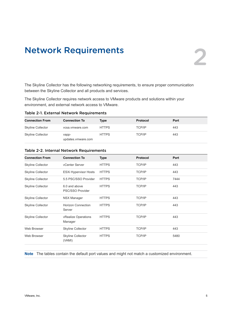## <span id="page-4-0"></span>Network Requirements<br>
2

The Skyline Collector has the following networking requirements, to ensure proper communication between the Skyline Collector and all products and services.

The Skyline Collector requires network access to VMware products and solutions within your environment, and external network access to VMware.

Table 2-1. External Network Requirements

| <b>Connection From</b> | <b>Connection To</b>        | Type         | <b>Protocol</b> | Port |
|------------------------|-----------------------------|--------------|-----------------|------|
| Skyline Collector      | ycsa.ymware.com             | <b>HTTPS</b> | <b>TCP/IP</b>   | 443  |
| Skyline Collector      | vapp-<br>updates.vmware.com | <b>HTTPS</b> | <b>TCP/IP</b>   | 443  |

| <b>Connection From</b>   | <b>Connection To</b>                | <b>Type</b>  | Protocol      | Port |
|--------------------------|-------------------------------------|--------------|---------------|------|
| <b>Skyline Collector</b> | vCenter Server                      | <b>HTTPS</b> | <b>TCP/IP</b> | 443  |
| <b>Skyline Collector</b> | <b>ESXi Hypervisor Hosts</b>        | <b>HTTPS</b> | <b>TCP/IP</b> | 443  |
| <b>Skyline Collector</b> | 5.5 PSC/SSO Provider                | <b>HTTPS</b> | <b>TCP/IP</b> | 7444 |
| <b>Skyline Collector</b> | 6.0 and above<br>PSC/SSO Provider   | <b>HTTPS</b> | <b>TCP/IP</b> | 443  |
| <b>Skyline Collector</b> | <b>NSX Manager</b>                  | <b>HTTPS</b> | <b>TCP/IP</b> | 443  |
| <b>Skyline Collector</b> | <b>Horizon Connection</b><br>Server | <b>HTTPS</b> | <b>TCP/IP</b> | 443  |
| <b>Skyline Collector</b> | vRealize Operations<br>Manager      | <b>HTTPS</b> | <b>TCP/IP</b> | 443  |
| Web Browser              | <b>Skyline Collector</b>            | <b>HTTPS</b> | <b>TCP/IP</b> | 443  |
| Web Browser              | <b>Skyline Collector</b><br>(VAMI)  | <b>HTTPS</b> | <b>TCP/IP</b> | 5480 |
|                          |                                     |              |               |      |

#### Table 2-2. Internal Network Requirements

**Note** The tables contain the default port values and might not match a customized environment.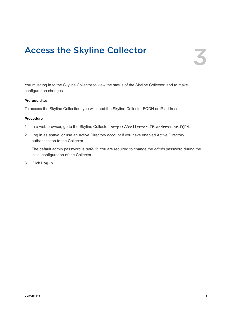## <span id="page-5-0"></span>Access the Skyline Collector 3

You must log in to the Skyline Collector to view the status of the Skyline Collector, and to make configuration changes.

#### Prerequisites

To access the Skyline Collection, you will need the Skyline Collector FQDN or IP address

#### Procedure

- **1** In a web browser, go to the Skyline Collector, https://collector-IP-address-or-FQDN.
- **2** Log in as *admin*, or use an Active Directory account if you have enabled Active Directory authentication to the Collector.

The default admin password is *default*. You are required to change the *admin* password during the initial configuration of the Collector.

**3** Click **Log In**.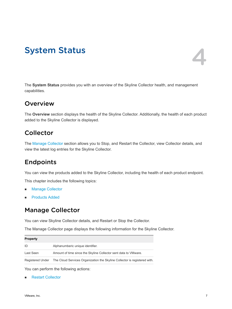## <span id="page-6-0"></span>**System Status**

The **System Status** provides you with an overview of the Skyline Collector health, and management capabilities.

## **Overview**

The **Overview** section displays the health of the Skyline Collector. Additionally, the health of each product added to the Skyline Collector is displayed.

## **Collector**

The Manage Collector section allows you to Stop, and Restart the Collector, view Collector details, and view the latest log entries for the Skyline Collector.

## Endpoints

You can view the products added to the Skyline Collector, including the health of each product endpoint.

This chapter includes the following topics:

- **n** Manage Collector
- **n** [Products Added](#page-8-0)

## Manage Collector

You can view Skyline Collector details, and Restart or Stop the Collector.

The Manage Collector page displays the following information for the Skyline Collector.

| <b>Property</b> |                                                                                            |
|-----------------|--------------------------------------------------------------------------------------------|
| ID              | Alphanumberic unique identifier.                                                           |
| Last Seen       | Amount of time since the Skyline Collector sent data to VMware.                            |
|                 | Registered Under The Cloud Services Organization the Skyline Collector is registered with. |

You can perform the following actions:

**[Restart Collector](#page-7-0)**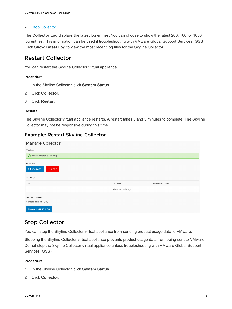#### <span id="page-7-0"></span>**n** Stop Collector

The **Collector Log** displays the latest log entries. You can choose to show the latest 200, 400, or 1000 log entries. This information can be used if troubleshooting with VMware Global Support Services (GSS). Click **Show Latest Log** to view the most recent log files for the Skyline Collector.

### Restart Collector

You can restart the Skyline Collector virtual appliance.

#### Procedure

- **1** In the Skyline Collector, click **System Status**.
- **2** Click **Collector**.
- **3** Click **Restart**.

#### Results

The Skyline Collector virtual appliance restarts. A restart takes 3 and 5 minutes to complete. The Skyline Collector may not be responsive during this time.

#### Example: Restart Skyline Collector

| Manage Collector                                   |                   |                         |
|----------------------------------------------------|-------------------|-------------------------|
| <b>STATUS:</b>                                     |                   |                         |
| ⊙ Your Collector is Running                        |                   |                         |
| <b>ACTIONS:</b><br>$\mathbb C$ RESTART<br>(J) STOP |                   |                         |
| <b>DETAILS:</b>                                    |                   |                         |
| ID                                                 | Last Seen         | <b>Registered Under</b> |
|                                                    | a few seconds ago |                         |
| <b>COLLECTOR LOG:</b>                              |                   |                         |
| Number of lines $200 \sim$                         |                   |                         |
| <b>SHOW LATEST LOG</b>                             |                   |                         |

### Stop Collector

You can stop the Skyline Collector virtual appliance from sending product usage data to VMware.

Stopping the Skyline Collector virtual appliance prevents product usage data from being sent to VMware. Do not stop the Skyline Collector virtual appliance unless troubleshooting with VMware Global Support Services (GSS).

- **1** In the Skyline Collector, click **System Status**.
- **2** Click **Collector**.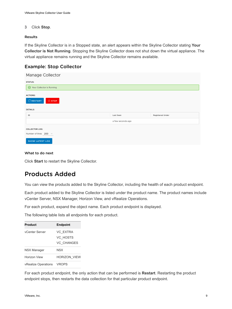#### <span id="page-8-0"></span>**3** Click **Stop**.

#### Results

If the Skyline Collector is in a Stopped state, an alert appears within the Skyline Collector stating **Your Collector is Not Running**. Stopping the Skyline Collector does not shut down the virtual appliance. The virtual appliance remains running and the Skyline Collector remains available.

#### Example: Stop Collector

| Manage Collector               |                   |                         |
|--------------------------------|-------------------|-------------------------|
| <b>STATUS:</b>                 |                   |                         |
| ◯ Your Collector is Running    |                   |                         |
| <b>ACTIONS:</b>                |                   |                         |
| $C$ RESTART<br>$\bigcirc$ STOP |                   |                         |
| <b>DETAILS:</b>                |                   |                         |
| ID                             | Last Seen         | <b>Registered Under</b> |
|                                | a few seconds ago |                         |
| <b>COLLECTOR LOG:</b>          |                   |                         |
| Number of lines $200 \sim$     |                   |                         |
| <b>SHOW LATEST LOG</b>         |                   |                         |

#### What to do next

Click **Start** to restart the Skyline Collector.

## Products Added

You can view the products added to the Skyline Collector, including the health of each product endpoint.

Each product added to the Skyline Collector is listed under the product name. The product names include vCenter Server, NSX Manager, Horizon View, and vRealize Operations.

For each product, expand the object name. Each product endpoint is displayed.

The following table lists all endpoints for each product.

| Product                    | <b>Endpoint</b>                           |
|----------------------------|-------------------------------------------|
| vCenter Server             | VC EXTRA<br>VC HOSTS<br><b>VC CHANGES</b> |
| <b>NSX Manager</b>         | NSX                                       |
| Horizon View               | <b>HORIZON VIEW</b>                       |
| <b>vRealize Operations</b> | <b>VROPS</b>                              |

For each product endpoint, the only action that can be performed is **Restart**. Restarting the product endpoint stops, then restarts the data collection for that particular product endpoint.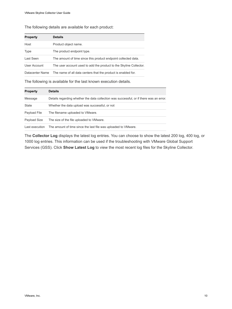The following details are available for each product:

| <b>Property</b> | <b>Details</b>                                                     |
|-----------------|--------------------------------------------------------------------|
| Host            | Product object name.                                               |
| <b>Type</b>     | The product endpoint type.                                         |
| Last Seen       | The amount of time since this product endpoint collected data.     |
| User Account    | The user account used to add the product to the Skyline Collector. |
| Datacenter Name | The name of all data centers that the product is enabled for.      |

The following is available for the last known execution details.

| <b>Property</b> | <b>Details</b>                                                                          |
|-----------------|-----------------------------------------------------------------------------------------|
| Message         | Details regarding whether the data collection was successful, or if there was an error. |
| State           | Whether the data upload was successful, or not                                          |
| Payload File    | The filename uploaded to VMware.                                                        |
| Payload Size    | The size of the file uploaded to VMware.                                                |
| Last execution  | The amount of time since the last file was uploaded to VMware.                          |

The **Collector Log** displays the latest log entries. You can choose to show the latest 200 log, 400 log, or 1000 log entries. This information can be used if the troubleshooting with VMware Global Support Services (GSS). Click **Show Latest Log** to view the most recent log files for the Skyline Collector.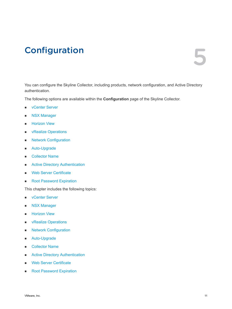## <span id="page-10-0"></span>**Configuration**

You can configure the Skyline Collector, including products, network configuration, and Active Directory authentication.

The following options are available within the **Configuration** page of the Skyline Collector.

- **n** [vCenter Server](#page-11-0)
- **[NSX Manager](#page-13-0)**
- **n** [Horizon View](#page-14-0)
- **n** [vRealize Operations](#page-15-0)
- **n** Network Configuration
- **n** Auto-Upgrade
- [Collector Name](#page-19-0)
- **n** [Active Directory Authentication](#page-19-0)
- **Neb Server Certificate**
- [Root Password Expiration](#page-20-0)

This chapter includes the following topics:

- **n** [vCenter Server](#page-11-0)
- **[NSX Manager](#page-13-0)**
- **n** [Horizon View](#page-14-0)
- **n** [vRealize Operations](#page-15-0)
- **n** [Network Configuration](#page-17-0)
- [Auto-Upgrade](#page-18-0)
- **n** [Collector Name](#page-19-0)
- **n** [Active Directory Authentication](#page-19-0)
- [Web Server Certificate](#page-20-0)
- [Root Password Expiration](#page-20-0)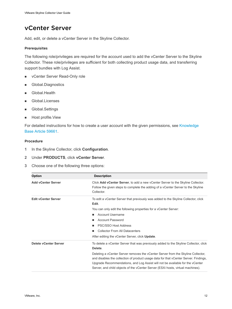## <span id="page-11-0"></span>vCenter Server

Add, edit, or delete a vCenter Server in the Skyline Collector.

#### Prerequisites

The following role/privileges are required for the account used to add the vCenter Server to the Skyline Collector. These role/privileges are sufficient for both collecting product usage data, and transferring support bundles with Log Assist.

- **n** vCenter Server Read-Only role
- Global.Diagnostics
- **n** Global.Health
- **n** Global.Licenses
- **n** Global.Settings
- Host profile.View

For detailed instructions for how to create a user account with the given permissions, see Knowledge [Base Article 59661.](https://kb.vmware.com/s/article/59661)

- **1** In the Skyline Collector, click **Configuration**.
- **2** Under **PRODUCTS**, click **vCenter Server**.
- **3** Choose one of the following three options:

| <b>Option</b>              | <b>Description</b>                                                                                                                                                                                                                                                                                                                           |
|----------------------------|----------------------------------------------------------------------------------------------------------------------------------------------------------------------------------------------------------------------------------------------------------------------------------------------------------------------------------------------|
| <b>Add vCenter Server</b>  | Click Add vCenter Server, to add a new vCenter Server to the Skyline Collector.<br>Follow the given steps to complete the adding of a vCenter Server to the Skyline<br>Collector.                                                                                                                                                            |
| <b>Edit vCenter Server</b> | To edit a vCenter Server that previously was added to the Skyline Collector, click<br>Edit.                                                                                                                                                                                                                                                  |
|                            | You can only edit the following properties for a vCenter Server:                                                                                                                                                                                                                                                                             |
|                            | Account Username<br>٠                                                                                                                                                                                                                                                                                                                        |
|                            | <b>Account Password</b><br>п                                                                                                                                                                                                                                                                                                                 |
|                            | PSC/SSO Host Address<br>п                                                                                                                                                                                                                                                                                                                    |
|                            | <b>Collector From All Datacenters</b>                                                                                                                                                                                                                                                                                                        |
|                            | After editing the vCenter Server, click Update.                                                                                                                                                                                                                                                                                              |
| Delete vCenter Server      | To delete a vCenter Server that was previously added to the Skyline Collector, click<br>Delete.                                                                                                                                                                                                                                              |
|                            | Deleting a vCenter Server removes the vCenter Server from the Skyline Collector,<br>and disables the collection of product usage data for that vCenter Server. Findings,<br>Upgrade Recommendations, and Log Assist will not be available for the vCenter<br>Server, and child objects of the vCenter Server (ESXi hosts, virtual machines). |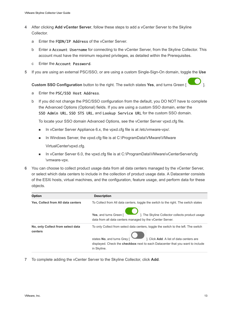- **4** After clicking **Add vCenter Server**, follow these steps to add a vCenter Server to the Skyline Collector.
	- a Enter the FQDN/IP Address of the vCenter Server.
	- b Enter a Account Username for connecting to the vCenter Server, from the Skyline Collector. This account must have the minimum required privileges, as detailed within the Prerequisites.
	- c Enter the Account Password.
- **5** If you are using an external PSC/SSO, or are using a custom Single-Sign-On domain, toggle the **Use**

**Custom SSO Configuration** button to the right. The switch states **Yes**, and turns Green [ ].



- a Enter the PSC/SSO Host Address.
- b If you did not change the PSC/SSO configuration from the default, you DO NOT have to complete the Advanced Options (Optional) fields. If you are using a custom SSO domain, enter the SSO Admin URL, SSO STS URL, and Lookup Service URL for the custom SSO domain.

To locate your SSO domain Advanced Options, see the vCenter Server vpxd.cfg file.

- In vCenter Server Appliance 6.x, the vpxd.cfg file is at /etc/vmware-vpx/.
- n In Windows Server, the vpxd.cfq file is at C:\ProgramData\VMware\VMware

VirtualCenter\vpxd.cfg.

- n VCenter Server 6.0, the vpxd.cfg file is at C:\ProgramData\VMware\vCenterServer\cfg \vmware-vpx.
- **6** You can choose to collect product usage data from all data centers managed by the vCenter Server, or select which data centers to include in the collection of product usage data. A Datacenter consists of the ESXi hosts, virtual machines, and the configuration, feature usage, and perform data for these objects.

| <b>Option</b>                                | <b>Description</b>                                                                                                                     |
|----------------------------------------------|----------------------------------------------------------------------------------------------------------------------------------------|
| Yes, Collect from All data centers           | To Collect from All data centers, toggle the switch to the right. The switch states                                                    |
|                                              | ]. The Skyline Collector collects product usage<br>Yes, and turns Green [<br>data from all data centers managed by the vCenter Server. |
| No, only Collect from select data<br>centers | To only Collect from select data centers, toggle the switch to the left. The switch                                                    |
|                                              | ]. Click Add. A list of data centers are<br>states No, and turns Grey [                                                                |
|                                              | displayed. Check the <b>checkbox</b> next to each Datacenter that you want to include                                                  |
|                                              | in Skyline.                                                                                                                            |

**7** To complete adding the vCenter Server to the Skyline Collector, click **Add**.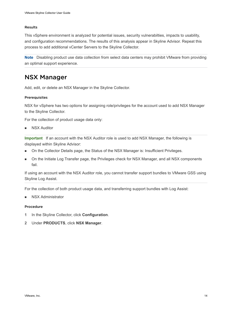#### <span id="page-13-0"></span>Results

This vSphere environment is analyzed for potential issues, security vulnerabilties, impacts to usability, and configuration recommendations. The results of this analysis appear in Skyline Advisor. Repeat this process to add additional vCenter Servers to the Skyline Collector.

**Note** Disabling product use data collection from select data centers may prohibit VMware from providing an optimal support experience.

## NSX Manager

Add, edit, or delete an NSX Manager in the Skyline Collector.

#### Prerequisites

NSX for vSphere has two options for assigning role/privileges for the account used to add NSX Manager to the Skyline Collector.

For the collection of product usage data only:

**NSX Auditor** 

**Important** If an account with the NSX Auditor role is used to add NSX Manager, the following is displayed within Skyline Advisor:

- n On the Collector Details page, the Status of the NSX Manager is: Insufficient Privileges.
- n On the Initiate Log Transfer page, the Privileges check for NSX Manager, and all NSX components fail.

If using an account with the NSX Auditor role, you cannot transfer support bundles to VMware GSS using Skyline Log Assist.

For the collection of both product usage data, and transferring support bundles with Log Assist:

**NSX Administrator** 

- **1** In the Skyline Collector, click **Configuration**.
- **2** Under **PRODUCTS**, click **NSX Manager**.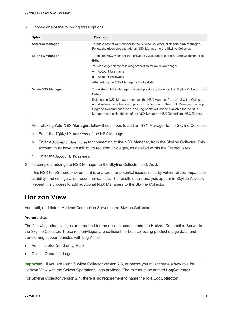<span id="page-14-0"></span>**3** Choose one of the following three options:

| <b>Option</b>           | <b>Description</b>                                                                                                                                                                                                                                                                                                                                                                                                            |
|-------------------------|-------------------------------------------------------------------------------------------------------------------------------------------------------------------------------------------------------------------------------------------------------------------------------------------------------------------------------------------------------------------------------------------------------------------------------|
| <b>Add NSX Manager</b>  | To add a new NSX Manager to the Skyline Collector, click <b>Add NSX Manager</b> .<br>Follow the given steps to add an NSX Manager to the Skyline Collector.                                                                                                                                                                                                                                                                   |
| <b>Edit NSX Manager</b> | To edit an NSX Manager that previously was added to the Skyline Collector, click<br>Edit.<br>You can only edit the following properties for an NSXManager:<br>Account Username<br>٠<br><b>Account Password</b><br>After editing the NSX Manager, click Update.                                                                                                                                                                |
| Delete NSX Manager      | To delete an NSX Manager that was previously added to the Skyline Collector, click<br>Delete.<br>Deleting an NSX Manager removes the NSX Manager from the Skyline Collector,<br>and disables the collection of product usage data for that NSX Manager. Findings,<br>Upgrade Recommendations, and Log Assist will not be available for the NSX<br>Manager, and child objects of the NSX Manager (NSX Controllers, NSX Edges). |

- **4** After clicking **Add NSX Manager**, follow these steps to add an NSX Manager to the Skyline Collector.
	- a Enter the FQDN/IP Address of the NSX Manager.
	- b Enter a Account Username for connecting to the NSX Manager, from the Skyline Collector. This account must have the minimum required privileges, as detailed within the Prerequisites.
	- c Enter the Account Password.
- **5** To complete adding the NSX Manager to the Skyline Collector, click **Add**.

This NSX for vSphere environment is analyzed for potential issues, security vulnerabilties, impacts to usability, and configuration recommendations. The results of this analysis appear in Skyline Advisor. Repeat this process to add additional NSX Managers to the Skyline Collector.

## Horizon View

Add, edit, or delete a Horizon Connection Server in the Skyline Collector.

#### **Prerequisites**

The following role/privileges are required for the account used to add the Horizon Connection Server to the Skyline Collector. These role/privileges are sufficient for both collecting product usage data, and transferring support bundles with Log Assist.

- Administrator (read-only) Role
- **Collect Operation Logs**

**Important** If you are using Skyline Collector version 2.3, or below, you must create a new role for Horizon View with the Collect Operations Logs privilege. The role must be named **LogCollector**.

For Skyline Collector version 2.4, there is no requirement to name the role **LogCollector**.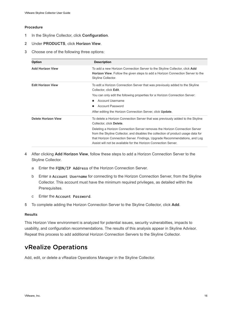#### <span id="page-15-0"></span>Procedure

- **1** In the Skyline Collector, click **Configuration**.
- **2** Under **PRODUCTS**, click **Horizon View**.
- **3** Choose one of the following three options:

| <b>Option</b>              | <b>Description</b>                                                                                                                                                                                                                                                                                               |
|----------------------------|------------------------------------------------------------------------------------------------------------------------------------------------------------------------------------------------------------------------------------------------------------------------------------------------------------------|
| <b>Add Horizon View</b>    | To add a new Horizon Connection Server to the Skyline Collector, click Add<br><b>Horizon View.</b> Follow the given steps to add a Horizon Connection Server to the<br>Skyline Collector.                                                                                                                        |
| <b>Edit Horizon View</b>   | To edit a Horizon Connection Server that was previously added to the Skyline<br>Collector, click Edit.                                                                                                                                                                                                           |
|                            | You can only edit the following properties for a Horizon Connection Server:                                                                                                                                                                                                                                      |
|                            | Account Username<br>ш                                                                                                                                                                                                                                                                                            |
|                            | <b>Account Password</b><br>ш                                                                                                                                                                                                                                                                                     |
|                            | After editing the Horizon Connection Server, click <b>Update</b> .                                                                                                                                                                                                                                               |
| <b>Delete Horizon View</b> | To delete a Horizon Connection Server that was previously added to the Skyline<br>Collector, click Delete.                                                                                                                                                                                                       |
|                            | Deleting a Horizon Connection Server removes the Horizon Connection Server<br>from the Skyline Collector, and disables the collection of product usage data for<br>that Horizon Connection Server. Findings, Upgrade Recommendations, and Log<br>Assist will not be available for the Horizon Connection Server. |

- **4** After clicking **Add Horizon View**, follow these steps to add a Horizon Connection Server to the Skyline Collector.
	- a Enter the FQDN/IP Address of the Horizon Connection Server.
	- b Enter a Account Username for connecting to the Horizon Connection Server, from the Skyline Collector. This account must have the minimum required privileges, as detailed within the Prerequisites.
	- c Enter the Account Password.
- **5** To complete adding the Horizon Connection Server to the Skyline Collector, click **Add**.

#### Results

This Horizon View environment is analyzed for potential issues, security vulnerabilties, impacts to usability, and configuration recommendations. The results of this analysis appear in Skyline Advisor. Repeat this process to add additional Horizon Connection Servers to the Skyline Collector.

## vRealize Operations

Add, edit, or delete a vRealize Operations Manager in the Skyline Collector.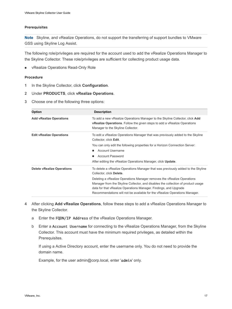#### Prerequisites

**Note** Skyline, and vRealize Operations, do not support the transferring of support bundles to VMware GSS using Skyline Log Assist.

The following role/privileges are required for the account used to add the vRealize Operations Manager to the Skyline Collector. These role/privileges are sufficient for collecting product usage data.

**n** vRealize Operations Read-Only Role

#### Procedure

- **1** In the Skyline Collector, click **Configuration**.
- **2** Under **PRODUCTS**, click **vRealize Operations**.
- **3** Choose one of the following three options:

| <b>Option</b>                     | <b>Description</b>                                                                                                                                                                                    |
|-----------------------------------|-------------------------------------------------------------------------------------------------------------------------------------------------------------------------------------------------------|
| <b>Add vRealize Operations</b>    | To add a new vRealize Operations Manager to the Skyline Collector, click Add<br><b>vRealize Operations</b> . Follow the given steps to add a vRealize Operations<br>Manager to the Skyline Collector. |
| <b>Edit vRealize Operations</b>   | To edit a vRealize Operations Manager that was previously added to the Skyline<br>Collector, click Edit.                                                                                              |
|                                   | You can only edit the following properties for a Horizon Connection Server:                                                                                                                           |
|                                   | Account Username<br>ш                                                                                                                                                                                 |
|                                   | <b>Account Password</b>                                                                                                                                                                               |
|                                   | After editing the vRealize Operations Manager, click <b>Update</b> .                                                                                                                                  |
| <b>Delete vRealize Operations</b> | To delete a vRealize Operations Manager that was previously added to the Skyline<br>Collector, click Delete.                                                                                          |
|                                   | Deleting a vRealize Operations Manager removes the vRealize Operations                                                                                                                                |
|                                   | Manager from the Skyline Collector, and disables the collection of product usage                                                                                                                      |
|                                   | data for that vRealize Operations Manager. Findings, and Upgrade                                                                                                                                      |
|                                   | Recommendations will not be available for the vRealize Operations Manager.                                                                                                                            |

- **4** After clicking **Add vRealize Operations**, follow these steps to add a vRealize Operations Manager to the Skyline Collector.
	- a Enter the FQDN/IP Address of the vRealize Operations Manager.
	- b Enter a Account Username for connecting to the vRealize Operations Manager, from the Skyline Collector. This account must have the minimum required privileges, as detailed within the Prerequisites.

If using a Active Directory account, enter the username only. You do not need to provide the domain name.

Example, for the user admin@corp.local, enter ' $\alpha$ dmin' only.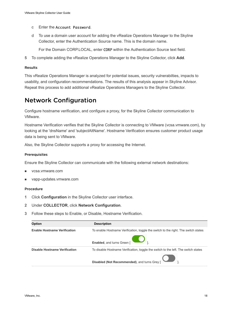- <span id="page-17-0"></span>c Enter the Account Password.
- d To use a domain user account for adding the vRealize Operations Manager to the Skyline Collector, enter the Authentication Source name. This is the domain name.

For the Domain CORP.LOCAL, enter CORP within the Authentication Source text field.

**5** To complete adding the vRealize Operations Manager to the Skyline Collector, click **Add**.

#### Results

This vRealize Operations Manager is analyzed for potential issues, security vulnerabilties, impacts to usability, and configuration recommendations. The results of this analysis appear in Skyline Advisor. Repeat this process to add additional vRealize Operations Managers to the Skyline Collector.

## Network Configuration

Configure hostname verification, and configure a proxy, for the Skyline Collector communication to VMware.

Hostname Verification verifies that the Skyline Collector is connecting to VMware (vcsa.vmware.com), by looking at the 'dnsName' and 'subjectAltName'. Hostname Verification ensures customer product usage data is being sent to VMware.

Also, the Skyline Collector supports a proxy for accessing the Internet.

#### Prerequisites

Ensure the Skyline Collector can communicate with the following external network destinations:

- vcsa.vmware.com
- vapp-updates.vmware.com

- **1** Click **Configuration** in the Skyline Collector user interface.
- **2** Under **COLLECTOR**, click **Network Configuration**.
- **3** Follow these steps to Enable, or Disable, Hostname Verification.

| <b>Option</b>                       | <b>Description</b>                                                                                               |
|-------------------------------------|------------------------------------------------------------------------------------------------------------------|
| <b>Enable Hostname Verification</b> | To enable Hostname Verification, toggle the switch to the right. The switch states<br>Enabled, and turns Green [ |
| Disable Hostname Verification       | To disable Hostname Verification, toggle the switch to the left. The switch states                               |
|                                     | Disabled (Not Recommended), and turns Grey [                                                                     |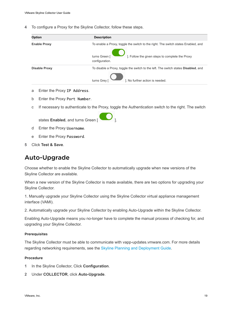<span id="page-18-0"></span>**4** To configure a Proxy for the Skyline Collector, follow these steps.

| <b>Option</b>        | <b>Description</b>                                                                                                                                                      |
|----------------------|-------------------------------------------------------------------------------------------------------------------------------------------------------------------------|
| <b>Enable Proxy</b>  | To enable a Proxy, toggle the switch to the right. The switch states Enabled, and<br>]. Follow the given steps to complete the Proxy<br>turns Green [<br>configuration. |
| <b>Disable Proxy</b> | To disable a Proxy, toggle the switch to the left. The switch states <b>Disabled</b> , and<br>turns Grey [<br>1. No further action is needed.                           |
|                      |                                                                                                                                                                         |

- a Enter the Proxy IP Address.
- b Enter the Proxy Port Number.

states **Enabled**, and turns Green [ ].

c If necessary to authenticate to the Proxy, toggle the Authentication switch to the right. The switch

- d Enter the Proxy Username.
- e Enter the Proxy Password.
- **5** Click **Test & Save**.

## Auto-Upgrade

Choose whether to enable the Skyline Collector to automatically upgrade when new versions of the Skyline Collector are available.

When a new version of the Skyline Collector is made available, there are two options for upgrading your Skyline Collector.

1. Manually upgrade your Skyline Collector using the Skyline Collector virtual appliance management interface (VAMI).

2. Automatically upgrade your Skyline Collector by enabling Auto-Upgrade within the Skyline Collector.

Enabling Auto-Upgrade means you no-longer have to complete the manual process of checking for, and upgrading your Skyline Collector.

#### Prerequisites

The Skyline Collector must be able to communicate with vapp-updates.vmware.com. For more details regarding networking requirements, see the [Skyline Planning and Deployment Guide.](https://docs.vmware.com/en/VMware-Skyline/index.html)

- **1** In the Skyline Collector, Click **Configuration**.
- **2** Under **COLLECTOR**, click **Auto-Upgrade**.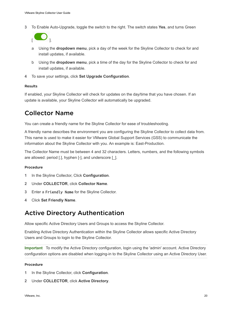<span id="page-19-0"></span>**3** To Enable Auto-Upgrade, toggle the switch to the right. The switch states **Yes**, and turns Green



- a Using the **dropdown menu**, pick a day of the week for the Skyline Collector to check for and install updates, if available.
- b Using the **dropdown menu**, pick a time of the day for the Skyline Collector to check for and install updates, if available.
- **4** To save your settings, click **Set Upgrade Configuration**.

#### Results

If enabled, your Skyline Collector will check for updates on the day/time that you have chosen. If an update is available, your Skyline Collector will automatically be upgraded.

## Collector Name

You can create a friendly name for the Skyline Collector for ease of troubleshooting.

A friendly name describes the environment you are configuring the Skyline Collector to collect data from. This name is used to make it easier for VMware Global Support Services (GSS) to communicate the information about the Skyline Collector with you. An example is: East-Production.

The Collector Name must be between 4 and 32 characters. Letters, numbers, and the following symbols are allowed: period [.], hyphen [-], and underscore [].

#### Procedure

- **1** In the Skyline Collector, Click **Configuration**.
- **2** Under **COLLECTOR**, click **Collector Name**.
- **3** Enter a Friendly Name for the Skyline Collector.
- **4** Click **Set Friendly Name**.

## Active Directory Authentication

Allow specific Active Directory Users and Groups to access the Skyline Collector.

Enabling Active Directory Authentication within the Skyline Collector allows specific Active Directory Users and Groups to login to the Skyline Collector.

**Important** To modify the Active Directory configuration, login using the 'admin' account. Active Directory configuration options are disabled when logging-in to the Skyline Collector using an Active Directory User.

- **1** In the Skyline Collector, click **Configuration**.
- **2** Under **COLLECTOR**, click **Active Directory**.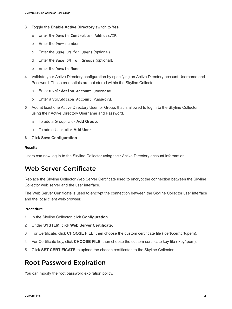- <span id="page-20-0"></span>**3** Toggle the **Enable Active Directory** switch to **Yes**.
	- a Enter the Domain Controller Address/IP.
	- b Enter the Port number.
	- c Enter the Base DN for Users (optional).
	- d Enter the Base DN for Groups (optional).
	- e Enter the Domain Name.
- **4** Validate your Active Directory configuration by specifying an Active Directory account Username and Password. These credentials are not stored within the Skyline Collector.
	- a Enter a Validation Account Username.
	- b Enter a Validation Account Password.
- **5** Add at least one Active Directory User, or Group, that is allowed to log in to the Skyline Collector using their Active Directory Username and Password.
	- a To add a Group, click **Add Group**.
	- b To add a User, click **Add User**.
- **6** Click **Save Configuration**.

#### Results

Users can now log in to the Skyline Collector using their Active Directory account information.

## Web Server Certificate

Replace the Skyline Collector Web Server Certificate used to encrypt the connection between the Skyline Collector web server and the user interface.

The Web Server Certificate is used to encrypt the connection between the Skyline Collector user interface and the local client web-browser.

#### Procedure

- **1** In the Skyline Collector, click **Configuration**.
- **2** Under **SYSTEM**, click **Web Server Certificate**.
- **3** For Certificate, click **CHOOSE FILE**, then choose the custom certificate file (.cert/.cer/.crt/.pem).
- **4** For Certificate key, click **CHOOSE FILE**, then choose the custom certificate key file (.key/.pem).
- **5** Click **SET CERTIFICATE** to upload the chosen certificates to the Skyline Collector.

## Root Password Expiration

You can modify the root password expiration policy.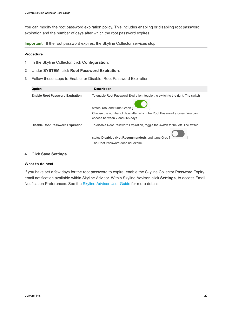You can modify the root password expiration policy. This includes enabling or disabling root password expiration and the number of days after which the root password expires.

**Important** If the root password expires, the Skyline Collector services stop.

#### Procedure

- **1** In the Skyline Collector, click **Configuration**.
- **2** Under **SYSTEM**, click **Root Password Expiration**.
- **3** Follow these steps to Enable, or Disable, Root Password Expiration.

| <b>Description</b>                                                             |
|--------------------------------------------------------------------------------|
| To enable Root Password Expiration, toggle the switch to the right. The switch |
| states Yes, and turns Green [                                                  |
| Choose the number of days after which the Root Password expires. You can       |
| choose between 7 and 365 days.                                                 |
| To disable Root Password Expiration, toggle the switch to the left. The switch |
| states Disabled (Not Recommended), and turns Grey [                            |
| The Root Password does not expire.                                             |
|                                                                                |

#### **4** Click **Save Settings**.

#### What to do next

If you have set a few days for the root password to expire, enable the Skyline Collector Password Expiry email notification available within Skyline Advisor. Within Skyline Advisor, click **Settings**, to access Email Notification Preferences. See the [Skyline Advisor User Guide](https://docs.vmware.com/en/VMware-Skyline/services/user-guide/GUID-BB09E0E3-D09D-49C1-98D3-2BA0112279E1.html) for more details.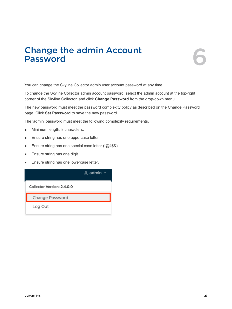# <span id="page-22-0"></span>**Change the admin Account**<br> **Password**



You can change the Skyline Collector admin user account password at any time.

To change the Skyline Collector admin account password, select the admin account at the top-right corner of the Skyline Collector, and click **Change Password** from the drop-down menu.

The new password must meet the password complexity policy as described on the Change Password page. Click **Set Password** to save the new password.

The 'admin' password must meet the following complexity requirements.

- **Ninimum length: 8 characters.**
- **Ensure string has one uppercase letter.**
- Ensure string has one special case letter (!@#\$&).
- **Ensure string has one digit.**
- **Ensure string has one lowercase letter.**

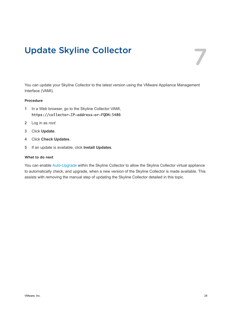## <span id="page-23-0"></span>Update Skyline Collector 7

You can update your Skyline Collector to the latest version using the VMware Appliance Management Interface (VAMI).

#### Procedure

- **1** In a Web browser, go to the Skyline Collector VAMI, https://collector-IP-address-or-FQDN:5480.
- **2** Log in as *root*.
- **3** Click **Update**.
- **4** Click **Check Updates**.
- **5** If an update is available, click **Install Updates**.

#### What to do next

You can enable Auto-Upgrade within the Skyline Collector to allow the Skyline Collector virtual appliance to automatically check, and upgrade, when a new version of the Skyline Collector is made available. This assists with removing the manual step of updating the Skyline Collector detailed in this topic.